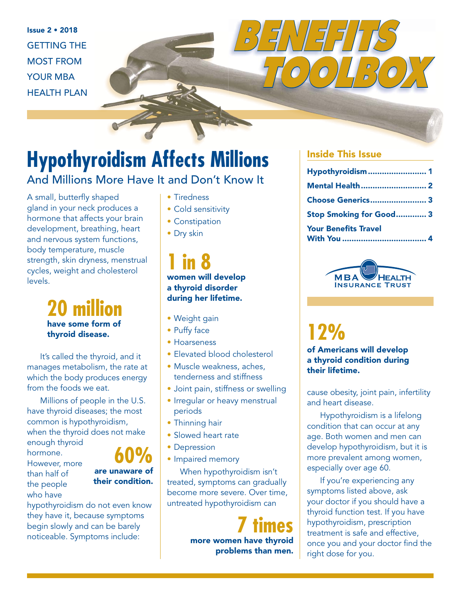Issue 2 • 2018 GETTING THE MOST FROM YOUR MBA HEALTH PLAN



### And Millions More Have It and Don't Know It

A small, butterfly shaped gland in your neck produces a hormone that affects your brain development, breathing, heart and nervous system functions, body temperature, muscle strength, skin dryness, menstrual cycles, weight and cholesterol levels.

> **20 million** have some form of thyroid disease.

It's called the thyroid, and it manages metabolism, the rate at which the body produces energy from the foods we eat.

Millions of people in the U.S. have thyroid diseases; the most common is hypothyroidism, when the thyroid does not make enough thyroid

hormone. However, more

than half of the people who have



hypothyroidism do not even know they have it, because symptoms begin slowly and can be barely noticeable. Symptoms include:

- Tiredness
- Cold sensitivity
- Constipation
- Dry skin

**1 in 8**  women will develop a thyroid disorder during her lifetime.

- Weight gain
- Puffy face
- Hoarseness
- Elevated blood cholesterol
- Muscle weakness, aches, tenderness and stiffness
- Joint pain, stiffness or swelling
- Irregular or heavy menstrual periods
- Thinning hair
- Slowed heart rate
- Depression
- Impaired memory

When hypothyroidism isn't treated, symptoms can gradually become more severe. Over time, untreated hypothyroidism can

> **7 times** more women have thyroid problems than men.

#### Inside This Issue

*BENEFITS* 

| Hypothyroidism 1            |  |
|-----------------------------|--|
| <b>Mental Health 2</b>      |  |
| Choose Generics 3           |  |
| Stop Smoking for Good 3     |  |
| <b>Your Benefits Travel</b> |  |

 *TOOLBOX*



# **12%**

of Americans will develop a thyroid condition during their lifetime.

cause obesity, joint pain, infertility and heart disease.

Hypothyroidism is a lifelong condition that can occur at any age. Both women and men can develop hypothyroidism, but it is more prevalent among women, especially over age 60.

If you're experiencing any symptoms listed above, ask your doctor if you should have a thyroid function test. If you have hypothyroidism, prescription treatment is safe and effective, once you and your doctor find the right dose for you.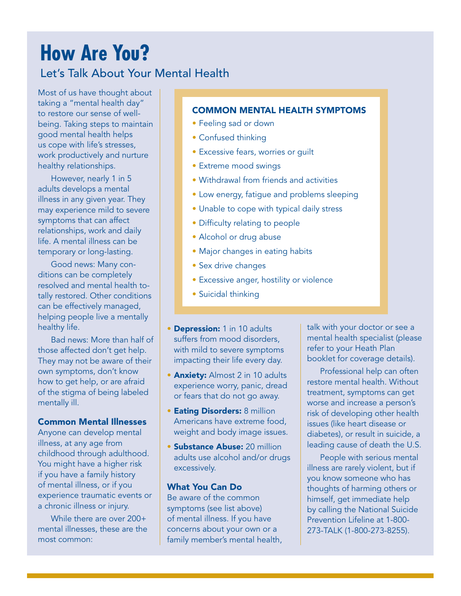## **How Are You?**

#### Let's Talk About Your Mental Health

Most of us have thought about taking a "mental health day" to restore our sense of wellbeing. Taking steps to maintain good mental health helps us cope with life's stresses, work productively and nurture healthy relationships.

However, nearly 1 in 5 adults develops a mental illness in any given year. They may experience mild to severe symptoms that can affect relationships, work and daily life. A mental illness can be temporary or long-lasting.

Good news: Many conditions can be completely resolved and mental health totally restored. Other conditions can be effectively managed, helping people live a mentally healthy life.

Bad news: More than half of those affected don't get help. They may not be aware of their own symptoms, don't know how to get help, or are afraid of the stigma of being labeled mentally ill.

#### Common Mental Illnesses

Anyone can develop mental illness, at any age from childhood through adulthood. You might have a higher risk if you have a family history of mental illness, or if you experience traumatic events or a chronic illness or injury.

While there are over 200+ mental illnesses, these are the most common:

#### COMMON MENTAL HEALTH SYMPTOMS

- Feeling sad or down
- Confused thinking
- Excessive fears, worries or guilt
- Extreme mood swings
- Withdrawal from friends and activities
- Low energy, fatigue and problems sleeping
- Unable to cope with typical daily stress
- Difficulty relating to people
- Alcohol or drug abuse
- Major changes in eating habits
- Sex drive changes
- Excessive anger, hostility or violence
- Suicidal thinking
- Depression: 1 in 10 adults suffers from mood disorders, with mild to severe symptoms impacting their life every day.
- **Anxiety:** Almost 2 in 10 adults experience worry, panic, dread or fears that do not go away.
- Eating Disorders: 8 million Americans have extreme food, weight and body image issues.
- Substance Abuse: 20 million adults use alcohol and/or drugs excessively.

#### What You Can Do

Be aware of the common symptoms (see list above) of mental illness. If you have concerns about your own or a family member's mental health, talk with your doctor or see a mental health specialist (please refer to your Heath Plan booklet for coverage details).

Professional help can often restore mental health. Without treatment, symptoms can get worse and increase a person's risk of developing other health issues (like heart disease or diabetes), or result in suicide, a leading cause of death the U.S.

People with serious mental illness are rarely violent, but if you know someone who has thoughts of harming others or himself, get immediate help by calling the National Suicide Prevention Lifeline at 1-800- 273-TALK (1-800-273-8255).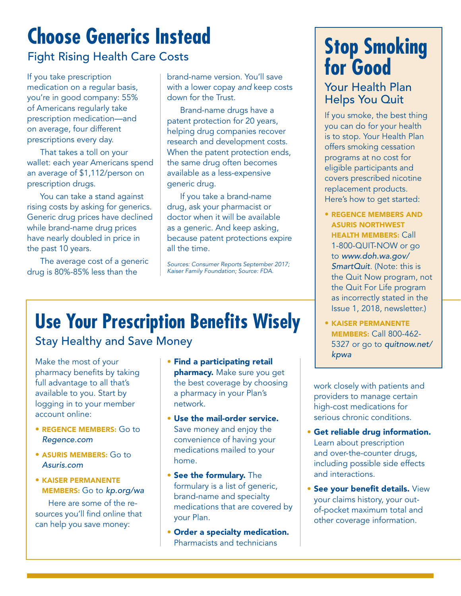# **Choose Generics Instead**

### Fight Rising Health Care Costs

If you take prescription medication on a regular basis, you're in good company: 55% of Americans regularly take prescription medication—and on average, four different prescriptions every day.

That takes a toll on your wallet: each year Americans spend an average of \$1,112/person on prescription drugs.

You can take a stand against rising costs by asking for generics. Generic drug prices have declined while brand-name drug prices have nearly doubled in price in the past 10 years.

The average cost of a generic drug is 80%-85% less than the

brand-name version. You'll save with a lower copay and keep costs down for the Trust.

Brand-name drugs have a patent protection for 20 years, helping drug companies recover research and development costs. When the patent protection ends, the same drug often becomes available as a less-expensive generic drug.

If you take a brand-name drug, ask your pharmacist or doctor when it will be available as a generic. And keep asking, because patent protections expire all the time.

Sources: Consumer Reports September 2017; Kaiser Family Foundation; Source: FDA.

# **Use Your Prescription Benefits Wisely**

### Stay Healthy and Save Money

Make the most of your pharmacy benefits by taking full advantage to all that's available to you. Start by logging in to your member account online:

- REGENCE MEMBERS: Go to Regence.com
- ASURIS MEMBERS: Go to Asuris.com
- KAISER PERMANENTE MEMBERS: Go to kp.org/wa

Here are some of the resources you'll find online that can help you save money:

- Find a participating retail pharmacy. Make sure you get the best coverage by choosing a pharmacy in your Plan's network.
- Use the mail-order service. Save money and enjoy the convenience of having your medications mailed to your home.
- See the formulary. The formulary is a list of generic, brand-name and specialty medications that are covered by your Plan.
- Order a specialty medication. Pharmacists and technicians

### **Stop Smoking for Good**

### Your Health Plan Helps You Quit

If you smoke, the best thing you can do for your health is to stop. Your Health Plan offers smoking cessation programs at no cost for eligible participants and covers prescribed nicotine replacement products. Here's how to get started:

- REGENCE MEMBERS AND ASURIS NORTHWEST HEALTH MEMBERS: Call 1-800-QUIT-NOW or go to www.doh.wa.gov/ SmartQuit. (Note: this is the Quit Now program, not the Quit For Life program as incorrectly stated in the Issue 1, 2018, newsletter.)
- KAISER PERMANENTE MEMBERS: Call 800-462- 5327 or go to *quitnow.net/* kpwa

work closely with patients and providers to manage certain high-cost medications for serious chronic conditions.

- Get reliable drug information. Learn about prescription and over-the-counter drugs, including possible side effects and interactions.
- See your benefit details. View your claims history, your outof-pocket maximum total and other coverage information.